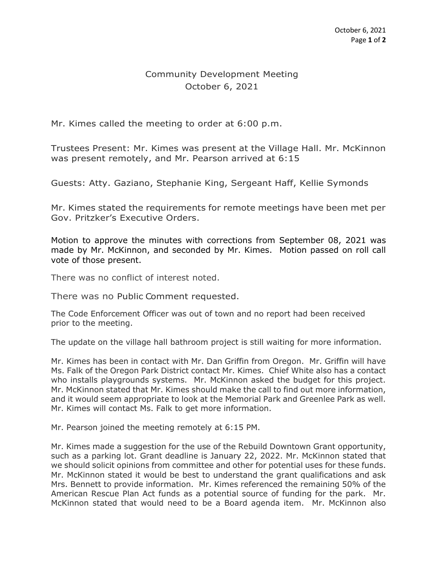## Community Development Meeting October 6, 2021

Mr. Kimes called the meeting to order at 6:00 p.m.

Trustees Present: Mr. Kimes was present at the Village Hall. Mr. McKinnon was present remotely, and Mr. Pearson arrived at 6:15

Guests: Atty. Gaziano, Stephanie King, Sergeant Haff, Kellie Symonds

Mr. Kimes stated the requirements for remote meetings have been met per Gov. Pritzker's Executive Orders.

Motion to approve the minutes with corrections from September 08, 2021 was made by Mr. McKinnon, and seconded by Mr. Kimes. Motion passed on roll call vote of those present.

There was no conflict of interest noted.

There was no Public Comment requested.

The Code Enforcement Officer was out of town and no report had been received prior to the meeting.

The update on the village hall bathroom project is still waiting for more information.

Mr. Kimes has been in contact with Mr. Dan Griffin from Oregon. Mr. Griffin will have Ms. Falk of the Oregon Park District contact Mr. Kimes. Chief White also has a contact who installs playgrounds systems. Mr. McKinnon asked the budget for this project. Mr. McKinnon stated that Mr. Kimes should make the call to find out more information, and it would seem appropriate to look at the Memorial Park and Greenlee Park as well. Mr. Kimes will contact Ms. Falk to get more information.

Mr. Pearson joined the meeting remotely at 6:15 PM.

Mr. Kimes made a suggestion for the use of the Rebuild Downtown Grant opportunity, such as a parking lot. Grant deadline is January 22, 2022. Mr. McKinnon stated that we should solicit opinions from committee and other for potential uses for these funds. Mr. McKinnon stated it would be best to understand the grant qualifications and ask Mrs. Bennett to provide information. Mr. Kimes referenced the remaining 50% of the American Rescue Plan Act funds as a potential source of funding for the park. Mr. McKinnon stated that would need to be a Board agenda item. Mr. McKinnon also